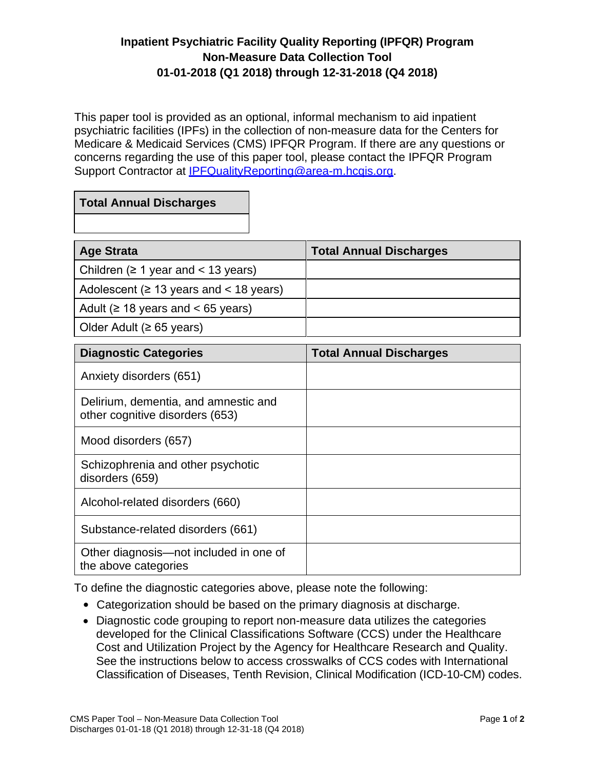## **Inpatient Psychiatric Facility Quality Reporting (IPFQR) Program Non-Measure Data Collection Tool 01-01-2018 (Q1 2018) through 12-31-2018 (Q4 2018)**

This paper tool is provided as an optional, informal mechanism to aid inpatient psychiatric facilities (IPFs) in the collection of non-measure data for the Centers for Medicare & Medicaid Services (CMS) IPFQR Program. If there are any questions or concerns regarding the use of this paper tool, please contact the IPFQR Program Support Contractor at **IPFQualityReporting@area-m.hcqis.org.** 

## **Total Annual Discharges**

| <b>Age Strata</b>                            | <b>Total Annual Discharges</b> |
|----------------------------------------------|--------------------------------|
| Children ( $\geq 1$ year and < 13 years)     |                                |
| Adolescent ( $\geq$ 13 years and < 18 years) |                                |
| Adult ( $\geq$ 18 years and < 65 years)      |                                |
| Older Adult ( $\geq 65$ years)               |                                |

| <b>Diagnostic Categories</b>                                            | <b>Total Annual Discharges</b> |
|-------------------------------------------------------------------------|--------------------------------|
| Anxiety disorders (651)                                                 |                                |
| Delirium, dementia, and amnestic and<br>other cognitive disorders (653) |                                |
| Mood disorders (657)                                                    |                                |
| Schizophrenia and other psychotic<br>disorders (659)                    |                                |
| Alcohol-related disorders (660)                                         |                                |
| Substance-related disorders (661)                                       |                                |
| Other diagnosis—not included in one of<br>the above categories          |                                |

To define the diagnostic categories above, please note the following:

- Categorization should be based on the primary diagnosis at discharge.
- Diagnostic code grouping to report non-measure data utilizes the categories developed for the Clinical Classifications Software (CCS) under the Healthcare Cost and Utilization Project by the Agency for Healthcare Research and Quality. See the instructions below to access crosswalks of CCS codes with International Classification of Diseases, Tenth Revision, Clinical Modification (ICD-10-CM) codes.